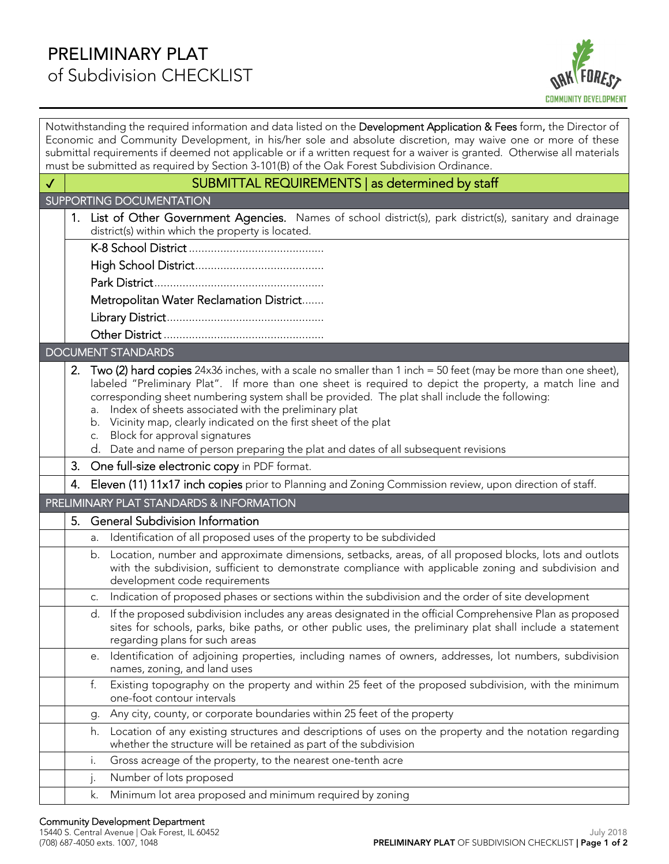

| Notwithstanding the required information and data listed on the Development Application & Fees form, the Director of<br>Economic and Community Development, in his/her sole and absolute discretion, may waive one or more of these<br>submittal requirements if deemed not applicable or if a written request for a waiver is granted. Otherwise all materials |                                                                                                                                                                                                                                                                                                                                                                                                                                                                                               |  |
|-----------------------------------------------------------------------------------------------------------------------------------------------------------------------------------------------------------------------------------------------------------------------------------------------------------------------------------------------------------------|-----------------------------------------------------------------------------------------------------------------------------------------------------------------------------------------------------------------------------------------------------------------------------------------------------------------------------------------------------------------------------------------------------------------------------------------------------------------------------------------------|--|
| must be submitted as required by Section 3-101(B) of the Oak Forest Subdivision Ordinance.                                                                                                                                                                                                                                                                      |                                                                                                                                                                                                                                                                                                                                                                                                                                                                                               |  |
| SUBMITTAL REQUIREMENTS   as determined by staff<br>$\checkmark$                                                                                                                                                                                                                                                                                                 |                                                                                                                                                                                                                                                                                                                                                                                                                                                                                               |  |
| <b>SUPPORTING DOCUMENTATION</b>                                                                                                                                                                                                                                                                                                                                 |                                                                                                                                                                                                                                                                                                                                                                                                                                                                                               |  |
| 1.                                                                                                                                                                                                                                                                                                                                                              | List of Other Government Agencies. Names of school district(s), park district(s), sanitary and drainage<br>district(s) within which the property is located.                                                                                                                                                                                                                                                                                                                                  |  |
|                                                                                                                                                                                                                                                                                                                                                                 |                                                                                                                                                                                                                                                                                                                                                                                                                                                                                               |  |
|                                                                                                                                                                                                                                                                                                                                                                 |                                                                                                                                                                                                                                                                                                                                                                                                                                                                                               |  |
|                                                                                                                                                                                                                                                                                                                                                                 |                                                                                                                                                                                                                                                                                                                                                                                                                                                                                               |  |
|                                                                                                                                                                                                                                                                                                                                                                 | Metropolitan Water Reclamation District                                                                                                                                                                                                                                                                                                                                                                                                                                                       |  |
|                                                                                                                                                                                                                                                                                                                                                                 |                                                                                                                                                                                                                                                                                                                                                                                                                                                                                               |  |
|                                                                                                                                                                                                                                                                                                                                                                 |                                                                                                                                                                                                                                                                                                                                                                                                                                                                                               |  |
| <b>DOCUMENT STANDARDS</b>                                                                                                                                                                                                                                                                                                                                       |                                                                                                                                                                                                                                                                                                                                                                                                                                                                                               |  |
| 2.                                                                                                                                                                                                                                                                                                                                                              | Two (2) hard copies 24x36 inches, with a scale no smaller than 1 inch = 50 feet (may be more than one sheet),<br>labeled "Preliminary Plat". If more than one sheet is required to depict the property, a match line and<br>corresponding sheet numbering system shall be provided. The plat shall include the following:<br>a. Index of sheets associated with the preliminary plat<br>b. Vicinity map, clearly indicated on the first sheet of the plat<br>c. Block for approval signatures |  |
|                                                                                                                                                                                                                                                                                                                                                                 | d. Date and name of person preparing the plat and dates of all subsequent revisions                                                                                                                                                                                                                                                                                                                                                                                                           |  |
|                                                                                                                                                                                                                                                                                                                                                                 | 3. One full-size electronic copy in PDF format.                                                                                                                                                                                                                                                                                                                                                                                                                                               |  |
|                                                                                                                                                                                                                                                                                                                                                                 | 4. Eleven (11) 11x17 inch copies prior to Planning and Zoning Commission review, upon direction of staff.                                                                                                                                                                                                                                                                                                                                                                                     |  |
| PRELIMINARY PLAT STANDARDS & INFORMATION                                                                                                                                                                                                                                                                                                                        |                                                                                                                                                                                                                                                                                                                                                                                                                                                                                               |  |
| 5.                                                                                                                                                                                                                                                                                                                                                              | <b>General Subdivision Information</b>                                                                                                                                                                                                                                                                                                                                                                                                                                                        |  |
| а.                                                                                                                                                                                                                                                                                                                                                              | Identification of all proposed uses of the property to be subdivided                                                                                                                                                                                                                                                                                                                                                                                                                          |  |
|                                                                                                                                                                                                                                                                                                                                                                 | b. Location, number and approximate dimensions, setbacks, areas, of all proposed blocks, lots and outlots<br>with the subdivision, sufficient to demonstrate compliance with applicable zoning and subdivision and<br>development code requirements                                                                                                                                                                                                                                           |  |
|                                                                                                                                                                                                                                                                                                                                                                 | c. Indication of proposed phases or sections within the subdivision and the order of site development                                                                                                                                                                                                                                                                                                                                                                                         |  |
|                                                                                                                                                                                                                                                                                                                                                                 | d. If the proposed subdivision includes any areas designated in the official Comprehensive Plan as proposed<br>sites for schools, parks, bike paths, or other public uses, the preliminary plat shall include a statement<br>regarding plans for such areas                                                                                                                                                                                                                                   |  |
|                                                                                                                                                                                                                                                                                                                                                                 | e. Identification of adjoining properties, including names of owners, addresses, lot numbers, subdivision<br>names, zoning, and land uses                                                                                                                                                                                                                                                                                                                                                     |  |
| f.                                                                                                                                                                                                                                                                                                                                                              | Existing topography on the property and within 25 feet of the proposed subdivision, with the minimum<br>one-foot contour intervals                                                                                                                                                                                                                                                                                                                                                            |  |
| g.                                                                                                                                                                                                                                                                                                                                                              | Any city, county, or corporate boundaries within 25 feet of the property                                                                                                                                                                                                                                                                                                                                                                                                                      |  |
|                                                                                                                                                                                                                                                                                                                                                                 | h. Location of any existing structures and descriptions of uses on the property and the notation regarding<br>whether the structure will be retained as part of the subdivision                                                                                                                                                                                                                                                                                                               |  |
| i.                                                                                                                                                                                                                                                                                                                                                              | Gross acreage of the property, to the nearest one-tenth acre                                                                                                                                                                                                                                                                                                                                                                                                                                  |  |
| j.                                                                                                                                                                                                                                                                                                                                                              | Number of lots proposed                                                                                                                                                                                                                                                                                                                                                                                                                                                                       |  |
| k.                                                                                                                                                                                                                                                                                                                                                              | Minimum lot area proposed and minimum required by zoning                                                                                                                                                                                                                                                                                                                                                                                                                                      |  |